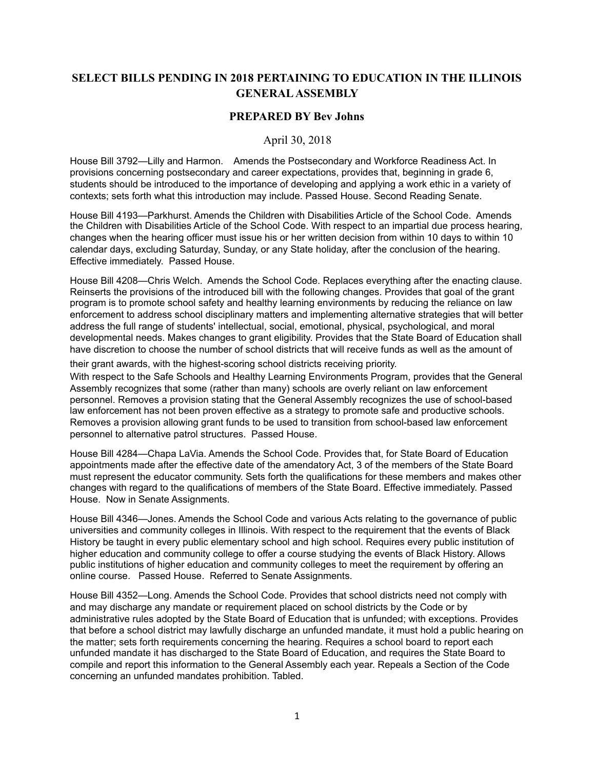## **SELECT BILLS PENDING IN 2018 PERTAINING TO EDUCATION IN THE ILLINOIS GENERAL ASSEMBLY**

## **PREPARED BY Bev Johns**

## April 30, 2018

House Bill 3792—Lilly and Harmon. Amends the Postsecondary and Workforce Readiness Act. In provisions concerning postsecondary and career expectations, provides that, beginning in grade 6, students should be introduced to the importance of developing and applying a work ethic in a variety of contexts; sets forth what this introduction may include. Passed House. Second Reading Senate.

House Bill 4193—Parkhurst. Amends the Children with Disabilities Article of the School Code. Amends the Children with Disabilities Article of the School Code. With respect to an impartial due process hearing, changes when the hearing officer must issue his or her written decision from within 10 days to within 10 calendar days, excluding Saturday, Sunday, or any State holiday, after the conclusion of the hearing. Effective immediately. Passed House.

House Bill 4208—Chris Welch. Amends the School Code. Replaces everything after the enacting clause. Reinserts the provisions of the introduced bill with the following changes. Provides that goal of the grant program is to promote school safety and healthy learning environments by reducing the reliance on law enforcement to address school disciplinary matters and implementing alternative strategies that will better address the full range of students' intellectual, social, emotional, physical, psychological, and moral developmental needs. Makes changes to grant eligibility. Provides that the State Board of Education shall have discretion to choose the number of school districts that will receive funds as well as the amount of

their grant awards, with the highest-scoring school districts receiving priority.

With respect to the Safe Schools and Healthy Learning Environments Program, provides that the General Assembly recognizes that some (rather than many) schools are overly reliant on law enforcement personnel. Removes a provision stating that the General Assembly recognizes the use of school-based law enforcement has not been proven effective as a strategy to promote safe and productive schools. Removes a provision allowing grant funds to be used to transition from school-based law enforcement personnel to alternative patrol structures. Passed House.

House Bill 4284—Chapa LaVia. Amends the School Code. Provides that, for State Board of Education appointments made after the effective date of the amendatory Act, 3 of the members of the State Board must represent the educator community. Sets forth the qualifications for these members and makes other changes with regard to the qualifications of members of the State Board. Effective immediately. Passed House. Now in Senate Assignments.

House Bill 4346—Jones. Amends the School Code and various Acts relating to the governance of public universities and community colleges in Illinois. With respect to the requirement that the events of Black History be taught in every public elementary school and high school. Requires every public institution of higher education and community college to offer a course studying the events of Black History. Allows public institutions of higher education and community colleges to meet the requirement by offering an online course. Passed House. Referred to Senate Assignments.

House Bill 4352—Long. Amends the School Code. Provides that school districts need not comply with and may discharge any mandate or requirement placed on school districts by the Code or by administrative rules adopted by the State Board of Education that is unfunded; with exceptions. Provides that before a school district may lawfully discharge an unfunded mandate, it must hold a public hearing on the matter; sets forth requirements concerning the hearing. Requires a school board to report each unfunded mandate it has discharged to the State Board of Education, and requires the State Board to compile and report this information to the General Assembly each year. Repeals a Section of the Code concerning an unfunded mandates prohibition. Tabled.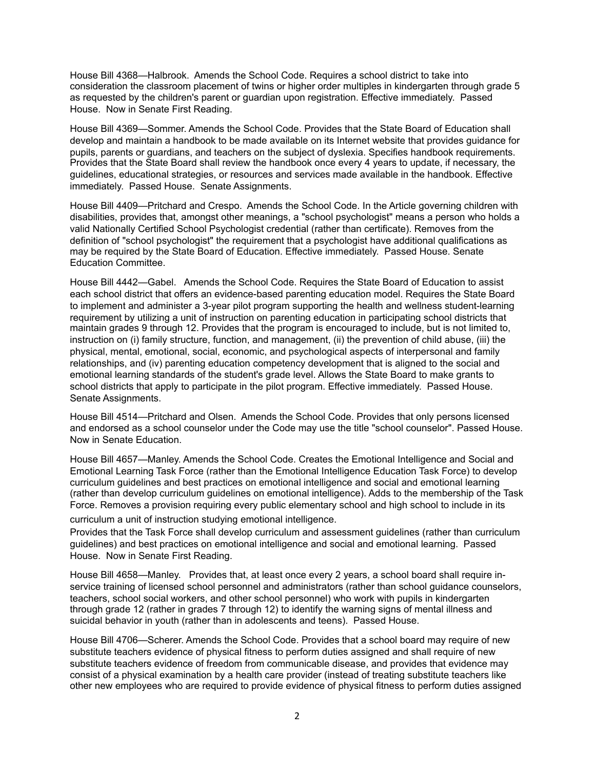House Bill 4368—Halbrook. Amends the School Code. Requires a school district to take into consideration the classroom placement of twins or higher order multiples in kindergarten through grade 5 as requested by the children's parent or guardian upon registration. Effective immediately. Passed House. Now in Senate First Reading.

House Bill 4369—Sommer. Amends the School Code. Provides that the State Board of Education shall develop and maintain a handbook to be made available on its Internet website that provides guidance for pupils, parents or guardians, and teachers on the subject of dyslexia. Specifies handbook requirements. Provides that the State Board shall review the handbook once every 4 years to update, if necessary, the guidelines, educational strategies, or resources and services made available in the handbook. Effective immediately. Passed House. Senate Assignments.

House Bill 4409—Pritchard and Crespo. Amends the School Code. In the Article governing children with disabilities, provides that, amongst other meanings, a "school psychologist" means a person who holds a valid Nationally Certified School Psychologist credential (rather than certificate). Removes from the definition of "school psychologist" the requirement that a psychologist have additional qualifications as may be required by the State Board of Education. Effective immediately. Passed House. Senate Education Committee.

House Bill 4442—Gabel. Amends the School Code. Requires the State Board of Education to assist each school district that offers an evidence-based parenting education model. Requires the State Board to implement and administer a 3-year pilot program supporting the health and wellness student-learning requirement by utilizing a unit of instruction on parenting education in participating school districts that maintain grades 9 through 12. Provides that the program is encouraged to include, but is not limited to, instruction on (i) family structure, function, and management, (ii) the prevention of child abuse, (iii) the physical, mental, emotional, social, economic, and psychological aspects of interpersonal and family relationships, and (iv) parenting education competency development that is aligned to the social and emotional learning standards of the student's grade level. Allows the State Board to make grants to school districts that apply to participate in the pilot program. Effective immediately. Passed House. Senate Assignments.

House Bill 4514—Pritchard and Olsen. Amends the School Code. Provides that only persons licensed and endorsed as a school counselor under the Code may use the title "school counselor". Passed House. Now in Senate Education.

House Bill 4657—Manley. Amends the School Code. Creates the Emotional Intelligence and Social and Emotional Learning Task Force (rather than the Emotional Intelligence Education Task Force) to develop curriculum guidelines and best practices on emotional intelligence and social and emotional learning (rather than develop curriculum guidelines on emotional intelligence). Adds to the membership of the Task Force. Removes a provision requiring every public elementary school and high school to include in its

curriculum a unit of instruction studying emotional intelligence.

Provides that the Task Force shall develop curriculum and assessment guidelines (rather than curriculum guidelines) and best practices on emotional intelligence and social and emotional learning. Passed House. Now in Senate First Reading.

House Bill 4658—Manley. Provides that, at least once every 2 years, a school board shall require inservice training of licensed school personnel and administrators (rather than school guidance counselors, teachers, school social workers, and other school personnel) who work with pupils in kindergarten through grade 12 (rather in grades 7 through 12) to identify the warning signs of mental illness and suicidal behavior in youth (rather than in adolescents and teens). Passed House.

House Bill 4706—Scherer. Amends the School Code. Provides that a school board may require of new substitute teachers evidence of physical fitness to perform duties assigned and shall require of new substitute teachers evidence of freedom from communicable disease, and provides that evidence may consist of a physical examination by a health care provider (instead of treating substitute teachers like other new employees who are required to provide evidence of physical fitness to perform duties assigned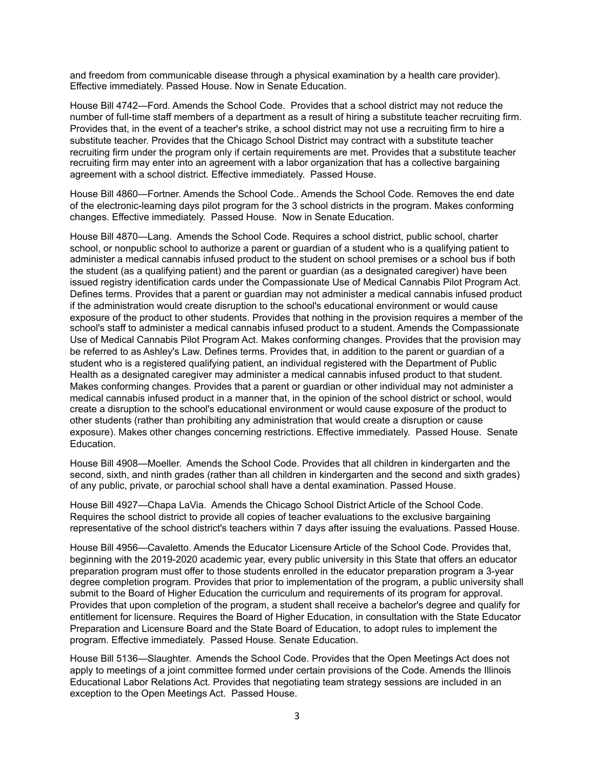and freedom from communicable disease through a physical examination by a health care provider). Effective immediately. Passed House. Now in Senate Education.

House Bill 4742—Ford. Amends the School Code. Provides that a school district may not reduce the number of full-time staff members of a department as a result of hiring a substitute teacher recruiting firm. Provides that, in the event of a teacher's strike, a school district may not use a recruiting firm to hire a substitute teacher. Provides that the Chicago School District may contract with a substitute teacher recruiting firm under the program only if certain requirements are met. Provides that a substitute teacher recruiting firm may enter into an agreement with a labor organization that has a collective bargaining agreement with a school district. Effective immediately. Passed House.

House Bill 4860—Fortner. Amends the School Code.. Amends the School Code. Removes the end date of the electronic-learning days pilot program for the 3 school districts in the program. Makes conforming changes. Effective immediately. Passed House. Now in Senate Education.

House Bill 4870—Lang. Amends the School Code. Requires a school district, public school, charter school, or nonpublic school to authorize a parent or guardian of a student who is a qualifying patient to administer a medical cannabis infused product to the student on school premises or a school bus if both the student (as a qualifying patient) and the parent or guardian (as a designated caregiver) have been issued registry identification cards under the Compassionate Use of Medical Cannabis Pilot Program Act. Defines terms. Provides that a parent or guardian may not administer a medical cannabis infused product if the administration would create disruption to the school's educational environment or would cause exposure of the product to other students. Provides that nothing in the provision requires a member of the school's staff to administer a medical cannabis infused product to a student. Amends the Compassionate Use of Medical Cannabis Pilot Program Act. Makes conforming changes. Provides that the provision may be referred to as Ashley's Law. Defines terms. Provides that, in addition to the parent or guardian of a student who is a registered qualifying patient, an individual registered with the Department of Public Health as a designated caregiver may administer a medical cannabis infused product to that student. Makes conforming changes. Provides that a parent or guardian or other individual may not administer a medical cannabis infused product in a manner that, in the opinion of the school district or school, would create a disruption to the school's educational environment or would cause exposure of the product to other students (rather than prohibiting any administration that would create a disruption or cause exposure). Makes other changes concerning restrictions. Effective immediately. Passed House. Senate Education.

House Bill 4908—Moeller. Amends the School Code. Provides that all children in kindergarten and the second, sixth, and ninth grades (rather than all children in kindergarten and the second and sixth grades) of any public, private, or parochial school shall have a dental examination. Passed House.

House Bill 4927—Chapa LaVia. Amends the Chicago School District Article of the School Code. Requires the school district to provide all copies of teacher evaluations to the exclusive bargaining representative of the school district's teachers within 7 days after issuing the evaluations. Passed House.

House Bill 4956—Cavaletto. Amends the Educator Licensure Article of the School Code. Provides that, beginning with the 2019-2020 academic year, every public university in this State that offers an educator preparation program must offer to those students enrolled in the educator preparation program a 3-year degree completion program. Provides that prior to implementation of the program, a public university shall submit to the Board of Higher Education the curriculum and requirements of its program for approval. Provides that upon completion of the program, a student shall receive a bachelor's degree and qualify for entitlement for licensure. Requires the Board of Higher Education, in consultation with the State Educator Preparation and Licensure Board and the State Board of Education, to adopt rules to implement the program. Effective immediately. Passed House. Senate Education.

House Bill 5136—Slaughter. Amends the School Code. Provides that the Open Meetings Act does not apply to meetings of a joint committee formed under certain provisions of the Code. Amends the Illinois Educational Labor Relations Act. Provides that negotiating team strategy sessions are included in an exception to the Open Meetings Act. Passed House.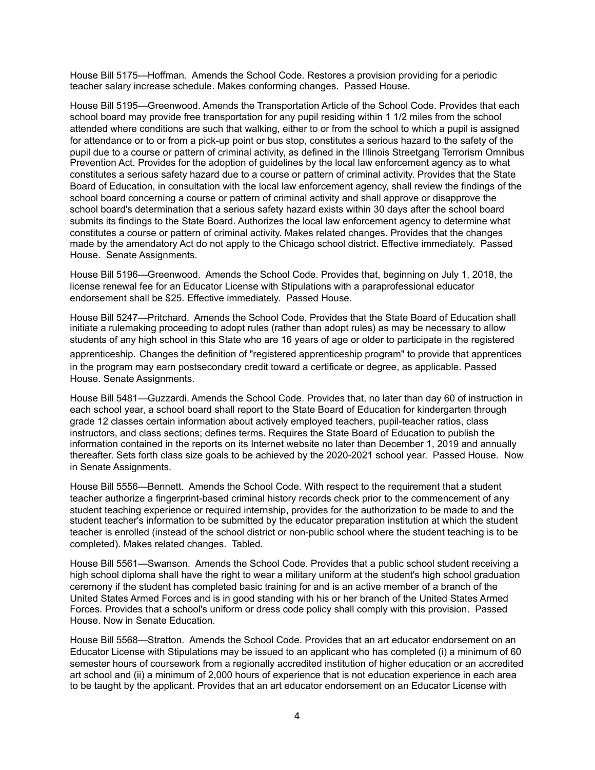House Bill 5175—Hoffman. Amends the School Code. Restores a provision providing for a periodic teacher salary increase schedule. Makes conforming changes. Passed House.

House Bill 5195—Greenwood. Amends the Transportation Article of the School Code. Provides that each school board may provide free transportation for any pupil residing within 1 1/2 miles from the school attended where conditions are such that walking, either to or from the school to which a pupil is assigned for attendance or to or from a pick-up point or bus stop, constitutes a serious hazard to the safety of the pupil due to a course or pattern of criminal activity, as defined in the Illinois Streetgang Terrorism Omnibus Prevention Act. Provides for the adoption of guidelines by the local law enforcement agency as to what constitutes a serious safety hazard due to a course or pattern of criminal activity. Provides that the State Board of Education, in consultation with the local law enforcement agency, shall review the findings of the school board concerning a course or pattern of criminal activity and shall approve or disapprove the school board's determination that a serious safety hazard exists within 30 days after the school board submits its findings to the State Board. Authorizes the local law enforcement agency to determine what constitutes a course or pattern of criminal activity. Makes related changes. Provides that the changes made by the amendatory Act do not apply to the Chicago school district. Effective immediately. Passed House. Senate Assignments.

House Bill 5196—Greenwood. Amends the School Code. Provides that, beginning on July 1, 2018, the license renewal fee for an Educator License with Stipulations with a paraprofessional educator endorsement shall be \$25. Effective immediately. Passed House.

House Bill 5247—Pritchard. Amends the School Code. Provides that the State Board of Education shall initiate a rulemaking proceeding to adopt rules (rather than adopt rules) as may be necessary to allow students of any high school in this State who are 16 years of age or older to participate in the registered

apprenticeship. Changes the definition of "registered apprenticeship program" to provide that apprentices in the program may earn postsecondary credit toward a certificate or degree, as applicable. Passed House. Senate Assignments.

House Bill 5481—Guzzardi. Amends the School Code. Provides that, no later than day 60 of instruction in each school year, a school board shall report to the State Board of Education for kindergarten through grade 12 classes certain information about actively employed teachers, pupil-teacher ratios, class instructors, and class sections; defines terms. Requires the State Board of Education to publish the information contained in the reports on its Internet website no later than December 1, 2019 and annually thereafter. Sets forth class size goals to be achieved by the 2020-2021 school year. Passed House. Now in Senate Assignments.

House Bill 5556—Bennett. Amends the School Code. With respect to the requirement that a student teacher authorize a fingerprint-based criminal history records check prior to the commencement of any student teaching experience or required internship, provides for the authorization to be made to and the student teacher's information to be submitted by the educator preparation institution at which the student teacher is enrolled (instead of the school district or non-public school where the student teaching is to be completed). Makes related changes. Tabled.

House Bill 5561—Swanson. Amends the School Code. Provides that a public school student receiving a high school diploma shall have the right to wear a military uniform at the student's high school graduation ceremony if the student has completed basic training for and is an active member of a branch of the United States Armed Forces and is in good standing with his or her branch of the United States Armed Forces. Provides that a school's uniform or dress code policy shall comply with this provision. Passed House. Now in Senate Education.

House Bill 5568—Stratton. Amends the School Code. Provides that an art educator endorsement on an Educator License with Stipulations may be issued to an applicant who has completed (i) a minimum of 60 semester hours of coursework from a regionally accredited institution of higher education or an accredited art school and (ii) a minimum of 2,000 hours of experience that is not education experience in each area to be taught by the applicant. Provides that an art educator endorsement on an Educator License with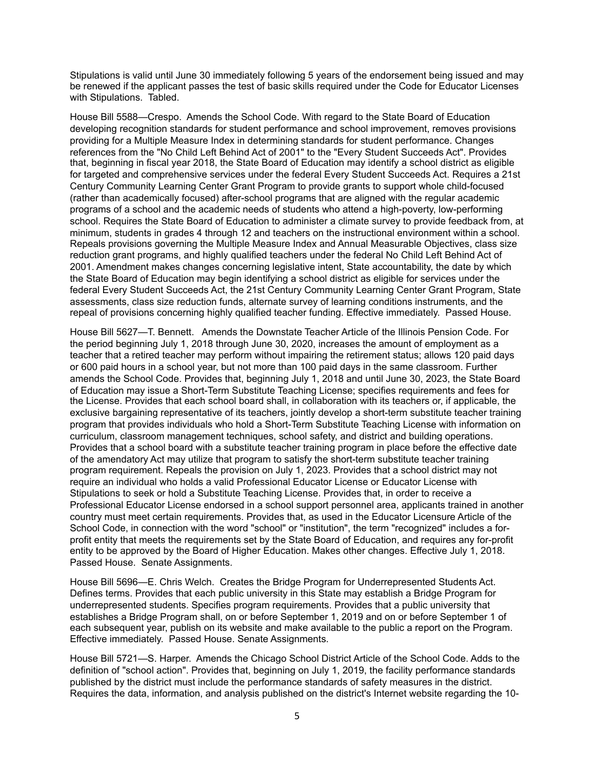Stipulations is valid until June 30 immediately following 5 years of the endorsement being issued and may be renewed if the applicant passes the test of basic skills required under the Code for Educator Licenses with Stipulations. Tabled.

House Bill 5588—Crespo. Amends the School Code. With regard to the State Board of Education developing recognition standards for student performance and school improvement, removes provisions providing for a Multiple Measure Index in determining standards for student performance. Changes references from the "No Child Left Behind Act of 2001" to the "Every Student Succeeds Act". Provides that, beginning in fiscal year 2018, the State Board of Education may identify a school district as eligible for targeted and comprehensive services under the federal Every Student Succeeds Act. Requires a 21st Century Community Learning Center Grant Program to provide grants to support whole child-focused (rather than academically focused) after-school programs that are aligned with the regular academic programs of a school and the academic needs of students who attend a high-poverty, low-performing school. Requires the State Board of Education to administer a climate survey to provide feedback from, at minimum, students in grades 4 through 12 and teachers on the instructional environment within a school. Repeals provisions governing the Multiple Measure Index and Annual Measurable Objectives, class size reduction grant programs, and highly qualified teachers under the federal No Child Left Behind Act of 2001. Amendment makes changes concerning legislative intent, State accountability, the date by which the State Board of Education may begin identifying a school district as eligible for services under the federal Every Student Succeeds Act, the 21st Century Community Learning Center Grant Program, State assessments, class size reduction funds, alternate survey of learning conditions instruments, and the repeal of provisions concerning highly qualified teacher funding. Effective immediately. Passed House.

House Bill 5627—T. Bennett. Amends the Downstate Teacher Article of the Illinois Pension Code. For the period beginning July 1, 2018 through June 30, 2020, increases the amount of employment as a teacher that a retired teacher may perform without impairing the retirement status; allows 120 paid days or 600 paid hours in a school year, but not more than 100 paid days in the same classroom. Further amends the School Code. Provides that, beginning July 1, 2018 and until June 30, 2023, the State Board of Education may issue a Short-Term Substitute Teaching License; specifies requirements and fees for the License. Provides that each school board shall, in collaboration with its teachers or, if applicable, the exclusive bargaining representative of its teachers, jointly develop a short-term substitute teacher training program that provides individuals who hold a Short-Term Substitute Teaching License with information on curriculum, classroom management techniques, school safety, and district and building operations. Provides that a school board with a substitute teacher training program in place before the effective date of the amendatory Act may utilize that program to satisfy the short-term substitute teacher training program requirement. Repeals the provision on July 1, 2023. Provides that a school district may not require an individual who holds a valid Professional Educator License or Educator License with Stipulations to seek or hold a Substitute Teaching License. Provides that, in order to receive a Professional Educator License endorsed in a school support personnel area, applicants trained in another country must meet certain requirements. Provides that, as used in the Educator Licensure Article of the School Code, in connection with the word "school" or "institution", the term "recognized" includes a forprofit entity that meets the requirements set by the State Board of Education, and requires any for-profit entity to be approved by the Board of Higher Education. Makes other changes. Effective July 1, 2018. Passed House. Senate Assignments.

House Bill 5696—E. Chris Welch. Creates the Bridge Program for Underrepresented Students Act. Defines terms. Provides that each public university in this State may establish a Bridge Program for underrepresented students. Specifies program requirements. Provides that a public university that establishes a Bridge Program shall, on or before September 1, 2019 and on or before September 1 of each subsequent year, publish on its website and make available to the public a report on the Program. Effective immediately. Passed House. Senate Assignments.

House Bill 5721—S. Harper. Amends the Chicago School District Article of the School Code. Adds to the definition of "school action". Provides that, beginning on July 1, 2019, the facility performance standards published by the district must include the performance standards of safety measures in the district. Requires the data, information, and analysis published on the district's Internet website regarding the 10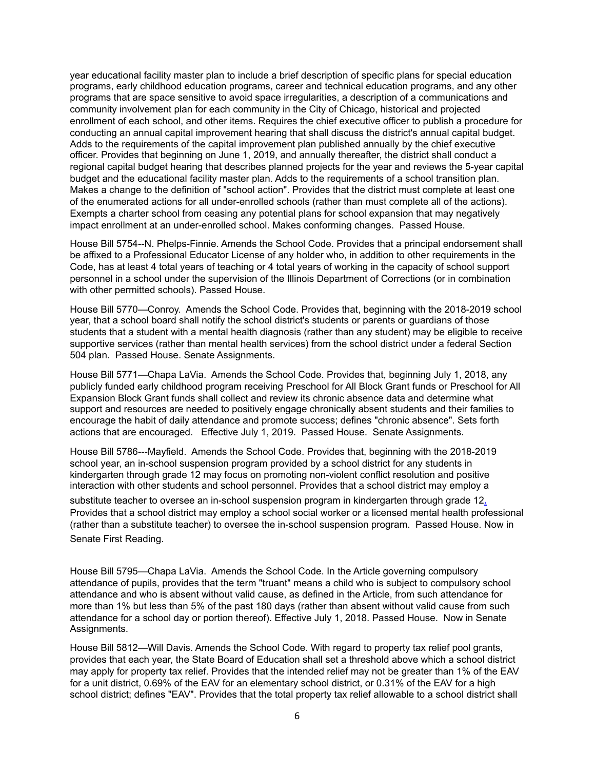year educational facility master plan to include a brief description of specific plans for special education programs, early childhood education programs, career and technical education programs, and any other programs that are space sensitive to avoid space irregularities, a description of a communications and community involvement plan for each community in the City of Chicago, historical and projected enrollment of each school, and other items. Requires the chief executive officer to publish a procedure for conducting an annual capital improvement hearing that shall discuss the district's annual capital budget. Adds to the requirements of the capital improvement plan published annually by the chief executive officer. Provides that beginning on June 1, 2019, and annually thereafter, the district shall conduct a regional capital budget hearing that describes planned projects for the year and reviews the 5-year capital budget and the educational facility master plan. Adds to the requirements of a school transition plan. Makes a change to the definition of "school action". Provides that the district must complete at least one of the enumerated actions for all under-enrolled schools (rather than must complete all of the actions). Exempts a charter school from ceasing any potential plans for school expansion that may negatively impact enrollment at an under-enrolled school. Makes conforming changes. Passed House.

House Bill 5754--N. Phelps-Finnie. Amends the School Code. Provides that a principal endorsement shall be affixed to a Professional Educator License of any holder who, in addition to other requirements in the Code, has at least 4 total years of teaching or 4 total years of working in the capacity of school support personnel in a school under the supervision of the Illinois Department of Corrections (or in combination with other permitted schools). Passed House.

House Bill 5770—Conroy. Amends the School Code. Provides that, beginning with the 2018-2019 school year, that a school board shall notify the school district's students or parents or guardians of those students that a student with a mental health diagnosis (rather than any student) may be eligible to receive supportive services (rather than mental health services) from the school district under a federal Section 504 plan. Passed House. Senate Assignments.

House Bill 5771—Chapa LaVia. Amends the School Code. Provides that, beginning July 1, 2018, any publicly funded early childhood program receiving Preschool for All Block Grant funds or Preschool for All Expansion Block Grant funds shall collect and review its chronic absence data and determine what support and resources are needed to positively engage chronically absent students and their families to encourage the habit of daily attendance and promote success; defines "chronic absence". Sets forth actions that are encouraged. Effective July 1, 2019. Passed House. Senate Assignments.

House Bill 5786---Mayfield. Amends the School Code. Provides that, beginning with the 2018-2019 school year, an in-school suspension program provided by a school district for any students in kindergarten through grade 12 may focus on promoting non-violent conflict resolution and positive interaction with other students and school personnel. Provides that a school district may employ a

substitute teacher to oversee an in-school suspension program in kindergarten through grade 12**.** Provides that a school district may employ a school social worker or a licensed mental health professional (rather than a substitute teacher) to oversee the in-school suspension program. Passed House. Now in Senate First Reading.

House Bill 5795—Chapa LaVia. Amends the School Code. In the Article governing compulsory attendance of pupils, provides that the term "truant" means a child who is subject to compulsory school attendance and who is absent without valid cause, as defined in the Article, from such attendance for more than 1% but less than 5% of the past 180 days (rather than absent without valid cause from such attendance for a school day or portion thereof). Effective July 1, 2018. Passed House. Now in Senate Assignments.

House Bill 5812—Will Davis. Amends the School Code. With regard to property tax relief pool grants, provides that each year, the State Board of Education shall set a threshold above which a school district may apply for property tax relief. Provides that the intended relief may not be greater than 1% of the EAV for a unit district, 0.69% of the EAV for an elementary school district, or 0.31% of the EAV for a high school district; defines "EAV". Provides that the total property tax relief allowable to a school district shall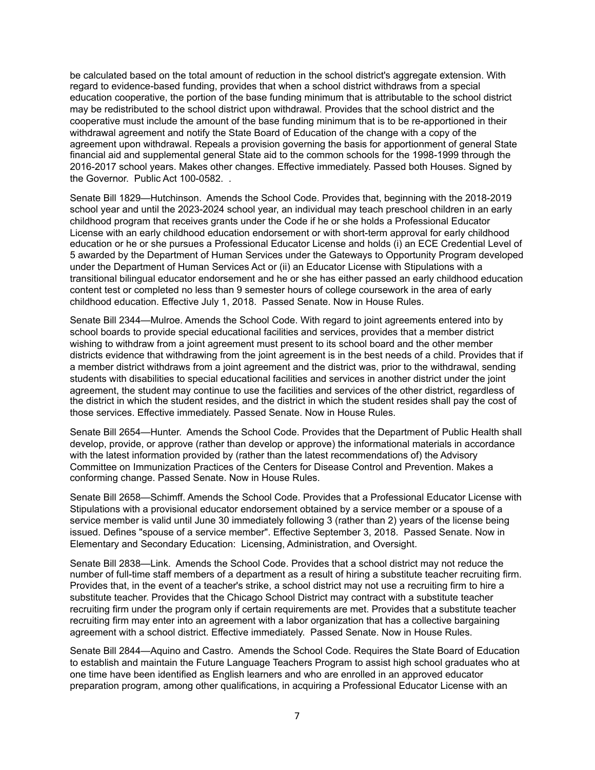be calculated based on the total amount of reduction in the school district's aggregate extension. With regard to evidence-based funding, provides that when a school district withdraws from a special education cooperative, the portion of the base funding minimum that is attributable to the school district may be redistributed to the school district upon withdrawal. Provides that the school district and the cooperative must include the amount of the base funding minimum that is to be re-apportioned in their withdrawal agreement and notify the State Board of Education of the change with a copy of the agreement upon withdrawal. Repeals a provision governing the basis for apportionment of general State financial aid and supplemental general State aid to the common schools for the 1998-1999 through the 2016-2017 school years. Makes other changes. Effective immediately. Passed both Houses. Signed by the Governor. Public Act 100-0582. .

Senate Bill 1829—Hutchinson. Amends the School Code. Provides that, beginning with the 2018-2019 school year and until the 2023-2024 school year, an individual may teach preschool children in an early childhood program that receives grants under the Code if he or she holds a Professional Educator License with an early childhood education endorsement or with short-term approval for early childhood education or he or she pursues a Professional Educator License and holds (i) an ECE Credential Level of 5 awarded by the Department of Human Services under the Gateways to Opportunity Program developed under the Department of Human Services Act or (ii) an Educator License with Stipulations with a transitional bilingual educator endorsement and he or she has either passed an early childhood education content test or completed no less than 9 semester hours of college coursework in the area of early childhood education. Effective July 1, 2018. Passed Senate. Now in House Rules.

Senate Bill 2344—Mulroe. Amends the School Code. With regard to joint agreements entered into by school boards to provide special educational facilities and services, provides that a member district wishing to withdraw from a joint agreement must present to its school board and the other member districts evidence that withdrawing from the joint agreement is in the best needs of a child. Provides that if a member district withdraws from a joint agreement and the district was, prior to the withdrawal, sending students with disabilities to special educational facilities and services in another district under the joint agreement, the student may continue to use the facilities and services of the other district, regardless of the district in which the student resides, and the district in which the student resides shall pay the cost of those services. Effective immediately. Passed Senate. Now in House Rules.

Senate Bill 2654—Hunter. Amends the School Code. Provides that the Department of Public Health shall develop, provide, or approve (rather than develop or approve) the informational materials in accordance with the latest information provided by (rather than the latest recommendations of) the Advisory Committee on Immunization Practices of the Centers for Disease Control and Prevention. Makes a conforming change. Passed Senate. Now in House Rules.

Senate Bill 2658—Schimff. Amends the School Code. Provides that a Professional Educator License with Stipulations with a provisional educator endorsement obtained by a service member or a spouse of a service member is valid until June 30 immediately following 3 (rather than 2) years of the license being issued. Defines "spouse of a service member". Effective September 3, 2018. Passed Senate. Now in Elementary and Secondary Education: Licensing, Administration, and Oversight.

Senate Bill 2838—Link. Amends the School Code. Provides that a school district may not reduce the number of full-time staff members of a department as a result of hiring a substitute teacher recruiting firm. Provides that, in the event of a teacher's strike, a school district may not use a recruiting firm to hire a substitute teacher. Provides that the Chicago School District may contract with a substitute teacher recruiting firm under the program only if certain requirements are met. Provides that a substitute teacher recruiting firm may enter into an agreement with a labor organization that has a collective bargaining agreement with a school district. Effective immediately. Passed Senate. Now in House Rules.

Senate Bill 2844—Aquino and Castro. Amends the School Code. Requires the State Board of Education to establish and maintain the Future Language Teachers Program to assist high school graduates who at one time have been identified as English learners and who are enrolled in an approved educator preparation program, among other qualifications, in acquiring a Professional Educator License with an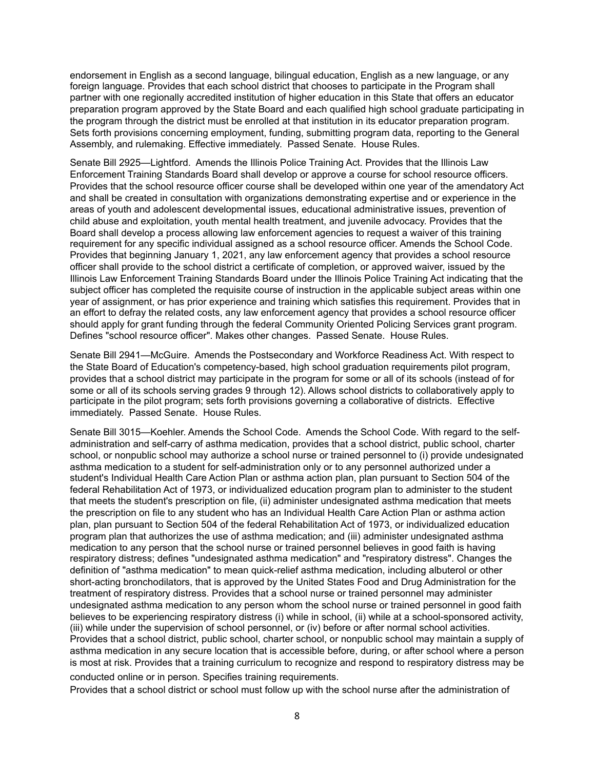endorsement in English as a second language, bilingual education, English as a new language, or any foreign language. Provides that each school district that chooses to participate in the Program shall partner with one regionally accredited institution of higher education in this State that offers an educator preparation program approved by the State Board and each qualified high school graduate participating in the program through the district must be enrolled at that institution in its educator preparation program. Sets forth provisions concerning employment, funding, submitting program data, reporting to the General Assembly, and rulemaking. Effective immediately. Passed Senate. House Rules.

Senate Bill 2925—Lightford. Amends the Illinois Police Training Act. Provides that the Illinois Law Enforcement Training Standards Board shall develop or approve a course for school resource officers. Provides that the school resource officer course shall be developed within one year of the amendatory Act and shall be created in consultation with organizations demonstrating expertise and or experience in the areas of youth and adolescent developmental issues, educational administrative issues, prevention of child abuse and exploitation, youth mental health treatment, and juvenile advocacy. Provides that the Board shall develop a process allowing law enforcement agencies to request a waiver of this training requirement for any specific individual assigned as a school resource officer. Amends the School Code. Provides that beginning January 1, 2021, any law enforcement agency that provides a school resource officer shall provide to the school district a certificate of completion, or approved waiver, issued by the Illinois Law Enforcement Training Standards Board under the Illinois Police Training Act indicating that the subject officer has completed the requisite course of instruction in the applicable subject areas within one year of assignment, or has prior experience and training which satisfies this requirement. Provides that in an effort to defray the related costs, any law enforcement agency that provides a school resource officer should apply for grant funding through the federal Community Oriented Policing Services grant program. Defines "school resource officer". Makes other changes. Passed Senate. House Rules.

Senate Bill 2941—McGuire. Amends the Postsecondary and Workforce Readiness Act. With respect to the State Board of Education's competency-based, high school graduation requirements pilot program, provides that a school district may participate in the program for some or all of its schools (instead of for some or all of its schools serving grades 9 through 12). Allows school districts to collaboratively apply to participate in the pilot program; sets forth provisions governing a collaborative of districts. Effective immediately. Passed Senate. House Rules.

Senate Bill 3015—Koehler. Amends the School Code. Amends the School Code. With regard to the selfadministration and self-carry of asthma medication, provides that a school district, public school, charter school, or nonpublic school may authorize a school nurse or trained personnel to (i) provide undesignated asthma medication to a student for self-administration only or to any personnel authorized under a student's Individual Health Care Action Plan or asthma action plan, plan pursuant to Section 504 of the federal Rehabilitation Act of 1973, or individualized education program plan to administer to the student that meets the student's prescription on file, (ii) administer undesignated asthma medication that meets the prescription on file to any student who has an Individual Health Care Action Plan or asthma action plan, plan pursuant to Section 504 of the federal Rehabilitation Act of 1973, or individualized education program plan that authorizes the use of asthma medication; and (iii) administer undesignated asthma medication to any person that the school nurse or trained personnel believes in good faith is having respiratory distress; defines "undesignated asthma medication" and "respiratory distress". Changes the definition of "asthma medication" to mean quick-relief asthma medication, including albuterol or other short-acting bronchodilators, that is approved by the United States Food and Drug Administration for the treatment of respiratory distress. Provides that a school nurse or trained personnel may administer undesignated asthma medication to any person whom the school nurse or trained personnel in good faith believes to be experiencing respiratory distress (i) while in school, (ii) while at a school-sponsored activity, (iii) while under the supervision of school personnel, or (iv) before or after normal school activities. Provides that a school district, public school, charter school, or nonpublic school may maintain a supply of asthma medication in any secure location that is accessible before, during, or after school where a person is most at risk. Provides that a training curriculum to recognize and respond to respiratory distress may be conducted online or in person. Specifies training requirements.

Provides that a school district or school must follow up with the school nurse after the administration of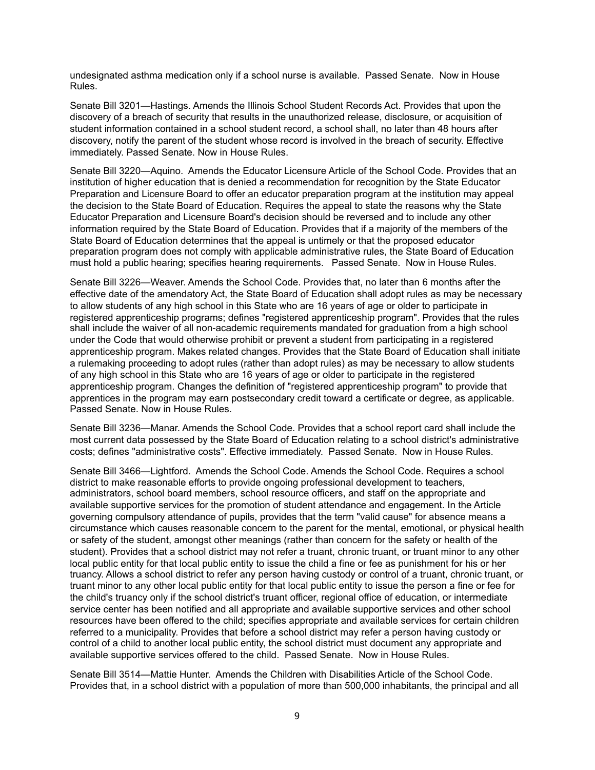undesignated asthma medication only if a school nurse is available. Passed Senate. Now in House Rules.

Senate Bill 3201—Hastings. Amends the Illinois School Student Records Act. Provides that upon the discovery of a breach of security that results in the unauthorized release, disclosure, or acquisition of student information contained in a school student record, a school shall, no later than 48 hours after discovery, notify the parent of the student whose record is involved in the breach of security. Effective immediately. Passed Senate. Now in House Rules.

Senate Bill 3220—Aquino. Amends the Educator Licensure Article of the School Code. Provides that an institution of higher education that is denied a recommendation for recognition by the State Educator Preparation and Licensure Board to offer an educator preparation program at the institution may appeal the decision to the State Board of Education. Requires the appeal to state the reasons why the State Educator Preparation and Licensure Board's decision should be reversed and to include any other information required by the State Board of Education. Provides that if a majority of the members of the State Board of Education determines that the appeal is untimely or that the proposed educator preparation program does not comply with applicable administrative rules, the State Board of Education must hold a public hearing; specifies hearing requirements. Passed Senate. Now in House Rules.

Senate Bill 3226—Weaver. Amends the School Code. Provides that, no later than 6 months after the effective date of the amendatory Act, the State Board of Education shall adopt rules as may be necessary to allow students of any high school in this State who are 16 years of age or older to participate in registered apprenticeship programs; defines "registered apprenticeship program". Provides that the rules shall include the waiver of all non-academic requirements mandated for graduation from a high school under the Code that would otherwise prohibit or prevent a student from participating in a registered apprenticeship program. Makes related changes. Provides that the State Board of Education shall initiate a rulemaking proceeding to adopt rules (rather than adopt rules) as may be necessary to allow students of any high school in this State who are 16 years of age or older to participate in the registered apprenticeship program. Changes the definition of "registered apprenticeship program" to provide that apprentices in the program may earn postsecondary credit toward a certificate or degree, as applicable. Passed Senate. Now in House Rules.

Senate Bill 3236—Manar. Amends the School Code. Provides that a school report card shall include the most current data possessed by the State Board of Education relating to a school district's administrative costs; defines "administrative costs". Effective immediately. Passed Senate. Now in House Rules.

Senate Bill 3466—Lightford. Amends the School Code. Amends the School Code. Requires a school district to make reasonable efforts to provide ongoing professional development to teachers, administrators, school board members, school resource officers, and staff on the appropriate and available supportive services for the promotion of student attendance and engagement. In the Article governing compulsory attendance of pupils, provides that the term "valid cause" for absence means a circumstance which causes reasonable concern to the parent for the mental, emotional, or physical health or safety of the student, amongst other meanings (rather than concern for the safety or health of the student). Provides that a school district may not refer a truant, chronic truant, or truant minor to any other local public entity for that local public entity to issue the child a fine or fee as punishment for his or her truancy. Allows a school district to refer any person having custody or control of a truant, chronic truant, or truant minor to any other local public entity for that local public entity to issue the person a fine or fee for the child's truancy only if the school district's truant officer, regional office of education, or intermediate service center has been notified and all appropriate and available supportive services and other school resources have been offered to the child; specifies appropriate and available services for certain children referred to a municipality. Provides that before a school district may refer a person having custody or control of a child to another local public entity, the school district must document any appropriate and available supportive services offered to the child. Passed Senate. Now in House Rules.

Senate Bill 3514—Mattie Hunter. Amends the Children with Disabilities Article of the School Code. Provides that, in a school district with a population of more than 500,000 inhabitants, the principal and all